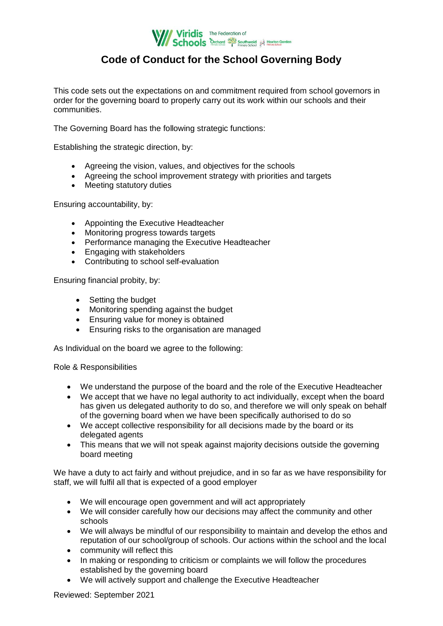

# **Code of Conduct for the School Governing Body**

This code sets out the expectations on and commitment required from school governors in order for the governing board to properly carry out its work within our schools and their communities.

The Governing Board has the following strategic functions:

Establishing the strategic direction, by:

- Agreeing the vision, values, and objectives for the schools
- Agreeing the school improvement strategy with priorities and targets
- Meeting statutory duties

Ensuring accountability, by:

- Appointing the Executive Headteacher
- Monitoring progress towards targets
- Performance managing the Executive Headteacher
- Engaging with stakeholders
- Contributing to school self-evaluation

Ensuring financial probity, by:

- Setting the budget
- Monitoring spending against the budget
- Ensuring value for money is obtained
- Ensuring risks to the organisation are managed

As Individual on the board we agree to the following:

Role & Responsibilities

- We understand the purpose of the board and the role of the Executive Headteacher
- We accept that we have no legal authority to act individually, except when the board has given us delegated authority to do so, and therefore we will only speak on behalf of the governing board when we have been specifically authorised to do so
- We accept collective responsibility for all decisions made by the board or its delegated agents
- This means that we will not speak against majority decisions outside the governing board meeting

We have a duty to act fairly and without prejudice, and in so far as we have responsibility for staff, we will fulfil all that is expected of a good employer

- We will encourage open government and will act appropriately
- We will consider carefully how our decisions may affect the community and other schools
- We will always be mindful of our responsibility to maintain and develop the ethos and reputation of our school/group of schools. Our actions within the school and the local
- community will reflect this
- In making or responding to criticism or complaints we will follow the procedures established by the governing board
- We will actively support and challenge the Executive Headteacher

Reviewed: September 2021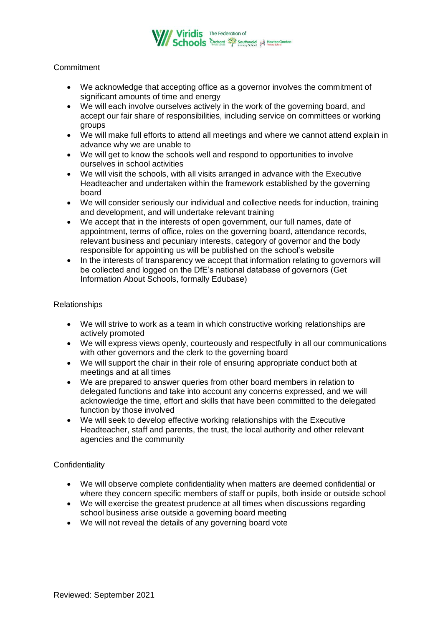

## **Commitment**

- We acknowledge that accepting office as a governor involves the commitment of significant amounts of time and energy
- We will each involve ourselves actively in the work of the governing board, and accept our fair share of responsibilities, including service on committees or working groups
- We will make full efforts to attend all meetings and where we cannot attend explain in advance why we are unable to
- We will get to know the schools well and respond to opportunities to involve ourselves in school activities
- We will visit the schools, with all visits arranged in advance with the Executive Headteacher and undertaken within the framework established by the governing board
- We will consider seriously our individual and collective needs for induction, training and development, and will undertake relevant training
- We accept that in the interests of open government, our full names, date of appointment, terms of office, roles on the governing board, attendance records, relevant business and pecuniary interests, category of governor and the body responsible for appointing us will be published on the school's website
- In the interests of transparency we accept that information relating to governors will be collected and logged on the DfE's national database of governors (Get Information About Schools, formally Edubase)

#### Relationships

- We will strive to work as a team in which constructive working relationships are actively promoted
- We will express views openly, courteously and respectfully in all our communications with other governors and the clerk to the governing board
- We will support the chair in their role of ensuring appropriate conduct both at meetings and at all times
- We are prepared to answer queries from other board members in relation to delegated functions and take into account any concerns expressed, and we will acknowledge the time, effort and skills that have been committed to the delegated function by those involved
- We will seek to develop effective working relationships with the Executive Headteacher, staff and parents, the trust, the local authority and other relevant agencies and the community

### **Confidentiality**

- We will observe complete confidentiality when matters are deemed confidential or where they concern specific members of staff or pupils, both inside or outside school
- We will exercise the greatest prudence at all times when discussions regarding school business arise outside a governing board meeting
- We will not reveal the details of any governing board vote